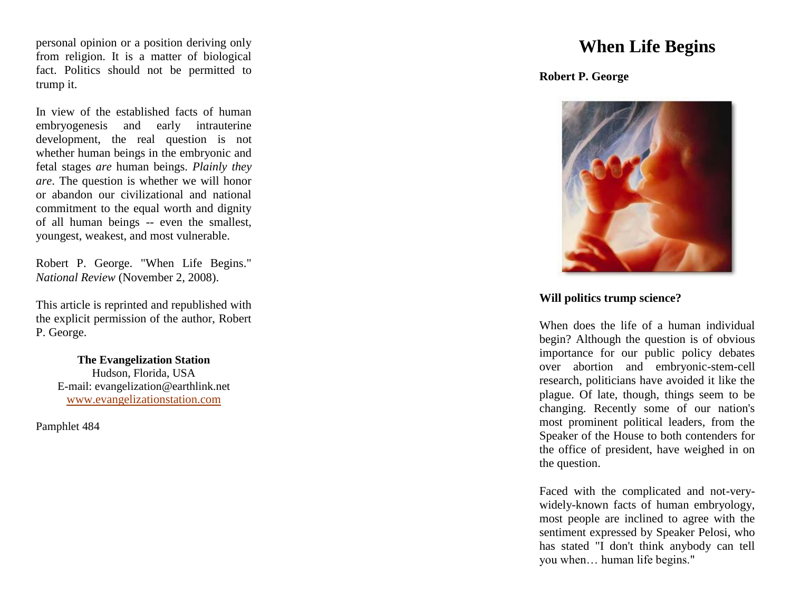personal opinion or a position deriving only from religion. It is a matter of biological fact. Politics should not be permitted to trump it.

In view of the established facts of human embryogenesis and early intrauterine development, the real question is not whether human beings in the embryonic and fetal stages *are* human beings. *Plainly they are*. The question is whether we will honor or abandon our civilizational and national commitment to the equal worth and dignity of all human beings -- even the smallest, youngest, weakest, and most vulnerable.

Robert P. George. "When Life Begins." *National Review* (November 2, 2008).

This article is reprinted and republished with the explicit permission of the author, Robert P. George.

> **The Evangelization Station** Hudson, Florida, USA E -mail: evangelization@earthlink.net [www.evangelizationstation.com](http://www.pjpiisoe.org/)

Pamphlet 48 4

## **When Life Begins**

**Robert P. Georg e**



## **Will politics trump science?**

When does the life of a human individual begin? Although the question is of obvious importance for our public policy debates over abortion and embryonic -stem -cell research, politicians have avoided it like the plague. Of late, though, things seem to be changing. Recently some of our nation's most prominent political leaders, from the Speaker of the House to both contenders for the office of president, have weighed in on the question.

Faced with the complicated and not -very widely -known facts of human embryology, most people are inclined to agree with the sentiment expressed by Speaker Pelosi, who has stated "I don't think anybody can tell you when… human life begins."